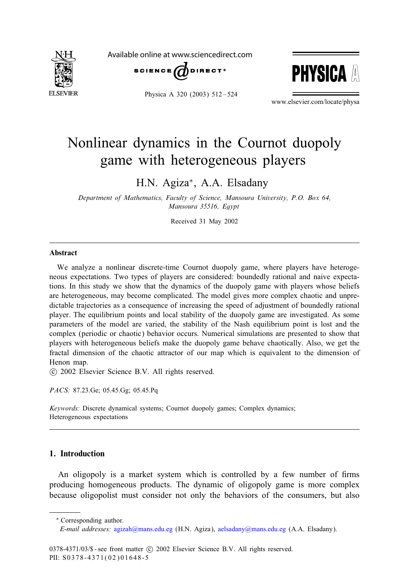

Available online at www.sciencedirect.com



**PHYSICA** 

Physica A 320 (2003) 512 – 524

www.elsevier.com/locate/physa

## Nonlinear dynamics in the Cournot duopoly game with heterogeneous players

H.N. Agiza∗, A.A. Elsadany

*Department of Mathematics, Faculty of Science, Mansoura University, P.O. Box 64, Mansoura 35516, Egypt*

Received 31 May 2002

#### Abstract

We analyze a nonlinear discrete-time Cournot duopoly game, where players have heterogeneous expectations. Two types of players are considered: boundedly rational and naive expectations. In this study we show that the dynamics of the duopoly game with players whose beliefs are heterogeneous, may become complicated. The model gives more complex chaotic and unpredictable trajectories as a consequence of increasing the speed of adjustment of boundedly rational player. The equilibrium points and local stability of the duopoly game are investigated. As some parameters of the model are varied, the stability of the Nash equilibrium point is lost and the complex (periodic or chaotic) behavior occurs. Numerical simulations are presented to show that players with heterogeneous beliefs make the duopoly game behave chaotically. Also, we get the fractal dimension of the chaotic attractor of our map which is equivalent to the dimension of Henon map.

-c 2002 Elsevier Science B.V. All rights reserved.

*PACS:* 87.23.Ge; 05.45.Gg; 05.45.Pq

*Keywords:* Discrete dynamical systems; Cournot duopoly games; Complex dynamics; Heterogeneous expectations

### 1. Introduction

An oligopoly is a market system which is controlled by a few number of firms producing homogeneous products. The dynamic of oligopoly game is more complex because oligopolist must consider not only the behaviors of the consumers, but also

<sup>∗</sup> Corresponding author.

*E-mail addresses:* [agizah@mans.edu.eg](mailto:agizah@mans.edu.eg) (H.N. Agiza), [aelsadany@mans.edu.eg](mailto:aelsadany@mans.edu.eg) (A.A. Elsadany).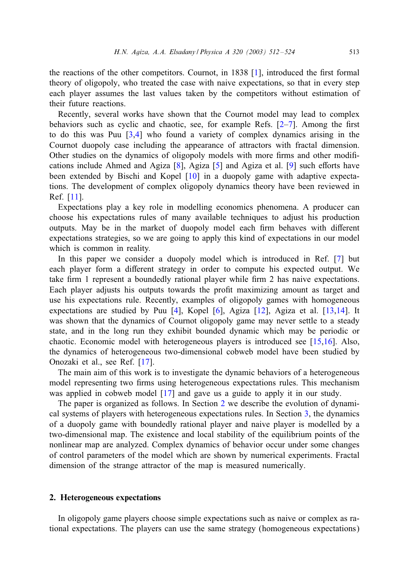the reactions of the other competitors. Cournot, in  $1838$  [\[1\]](#page--1-0), introduced the first formal theory of oligopoly, who treated the case with naive expectations, so that in every step each player assumes the last values taken by the competitors without estimation of their future reactions.

Recently, several works have shown that the Cournot model may lead to complex behaviors such as cyclic and chaotic, see, for example Refs.  $[2-7]$ . Among the first to do this was Puu [\[3,4\]](#page--1-0) who found a variety of complex dynamics arising in the Cournot duopoly case including the appearance of attractors with fractal dimension. Other studies on the dynamics of oligopoly models with more firms and other modifications include Ahmed and Agiza  $[8]$ , Agiza  $[5]$  and Agiza et al.  $[9]$  such efforts have been extended by Bischi and Kopel [\[10\]](#page--1-0) in a duopoly game with adaptive expectations. The development of complex oligopoly dynamics theory have been reviewed in Ref. [\[11\]](#page--1-0).

Expectations play a key role in modelling economics phenomena. A producer can choose his expectations rules of many available techniques to adjust his production outputs. May be in the market of duopoly model each firm behaves with different expectations strategies, so we are going to apply this kind of expectations in our model which is common in reality*.*

In this paper we consider a duopoly model which is introduced in Ref. [\[7\]](#page--1-0) but each player form a different strategy in order to compute his expected output. We take firm 1 represent a boundedly rational player while firm 2 has naive expectations. Each player adjusts his outputs towards the profit maximizing amount as target and use his expectations rule. Recently, examples of oligopoly games with homogeneous expectations are studied by Puu [\[4\]](#page--1-0), Kopel [\[6\]](#page--1-0), Agiza [\[12\]](#page--1-0), Agiza et al. [\[13,14\]](#page--1-0). It was shown that the dynamics of Cournot oligopoly game may never settle to a steady state, and in the long run they exhibit bounded dynamic which may be periodic or chaotic. Economic model with heterogeneous players is introduced see [\[15,16\]](#page--1-0). Also, the dynamics of heterogeneous two-dimensional cobweb model have been studied by Onozaki et al., see Ref. [\[17\]](#page--1-0).

The main aim of this work is to investigate the dynamic behaviors of a heterogeneous model representing two firms using heterogeneous expectations rules. This mechanism was applied in cobweb model [\[17\]](#page--1-0) and gave us a guide to apply it in our study.

The paper is organized as follows. In Section 2 we describe the evolution of dynamical systems of players with heterogeneous expectations rules. In Section [3,](#page--1-0) the dynamics of a duopoly game with boundedly rational player and naive player is modelled by a two-dimensional map. The existence and local stability of the equilibrium points of the nonlinear map are analyzed. Complex dynamics of behavior occur under some changes of control parameters of the model which are shown by numerical experiments. Fractal dimension of the strange attractor of the map is measured numerically.

#### 2. Heterogeneous expectations

In oligopoly game players choose simple expectations such as naive or complex as rational expectations. The players can use the same strategy (homogeneous expectations)